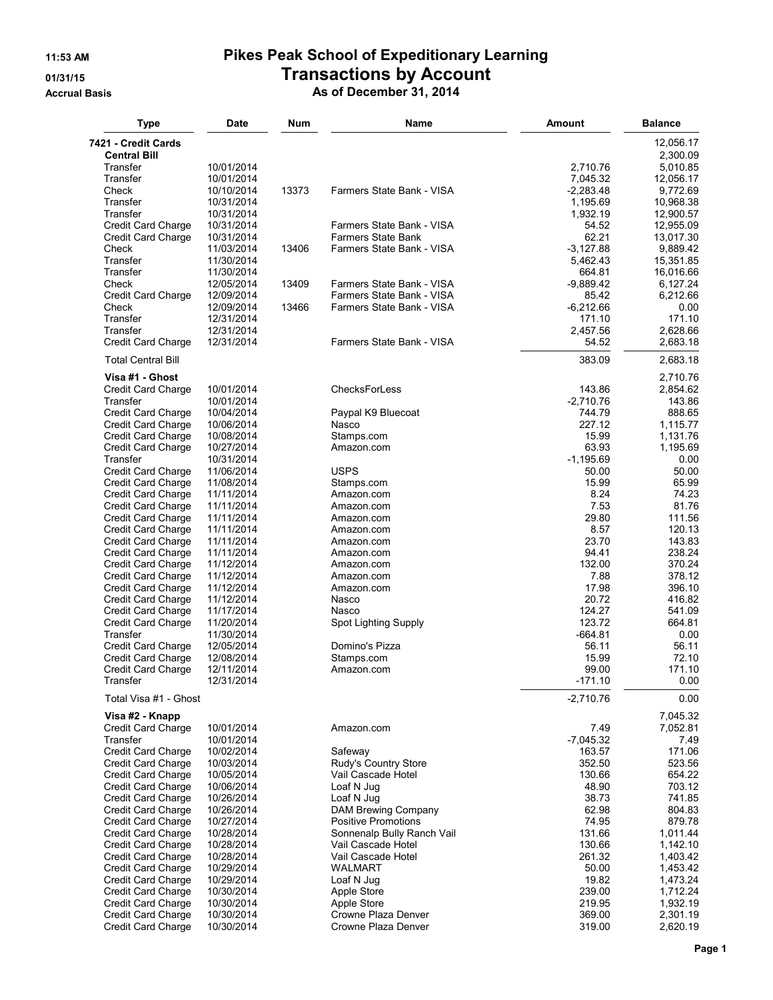## **11:53 AM Pikes Peak School of Expeditionary Learning 01/31/15 Transactions by Account**

**Accrual Basis As of December 31, 2014**

| <b>Type</b>                                | Date                     | Num   | Name                            | Amount                | <b>Balance</b>        |
|--------------------------------------------|--------------------------|-------|---------------------------------|-----------------------|-----------------------|
| 7421 - Credit Cards<br><b>Central Bill</b> |                          |       |                                 |                       | 12,056.17<br>2,300.09 |
| Transfer                                   | 10/01/2014               |       |                                 | 2,710.76              | 5,010.85              |
| Transfer                                   | 10/01/2014               |       |                                 | 7,045.32              | 12,056.17             |
| Check                                      | 10/10/2014               | 13373 | Farmers State Bank - VISA       | $-2,283.48$           | 9,772.69              |
| Transfer                                   | 10/31/2014               |       |                                 | 1,195.69              | 10,968.38             |
| Transfer                                   | 10/31/2014               |       |                                 | 1,932.19              | 12,900.57             |
| Credit Card Charge                         | 10/31/2014               |       | Farmers State Bank - VISA       | 54.52                 | 12,955.09             |
| Credit Card Charge                         | 10/31/2014               |       | <b>Farmers State Bank</b>       | 62.21                 | 13,017.30             |
| Check                                      | 11/03/2014               | 13406 | Farmers State Bank - VISA       | $-3,127.88$           | 9,889.42              |
| Transfer<br>Transfer                       | 11/30/2014               |       |                                 | 5,462.43              | 15,351.85             |
| Check                                      | 11/30/2014<br>12/05/2014 | 13409 | Farmers State Bank - VISA       | 664.81<br>$-9,889.42$ | 16,016.66<br>6,127.24 |
| <b>Credit Card Charge</b>                  | 12/09/2014               |       | Farmers State Bank - VISA       | 85.42                 | 6,212.66              |
| Check                                      | 12/09/2014               | 13466 | Farmers State Bank - VISA       | $-6,212.66$           | 0.00                  |
| Transfer                                   | 12/31/2014               |       |                                 | 171.10                | 171.10                |
| Transfer                                   | 12/31/2014               |       |                                 | 2,457.56              | 2,628.66              |
| Credit Card Charge                         | 12/31/2014               |       | Farmers State Bank - VISA       | 54.52                 | 2,683.18              |
| <b>Total Central Bill</b>                  |                          |       |                                 | 383.09                | 2,683.18              |
| Visa #1 - Ghost                            | 10/01/2014               |       | ChecksForLess                   | 143.86                | 2,710.76<br>2,854.62  |
| Credit Card Charge<br>Transfer             | 10/01/2014               |       |                                 | $-2,710.76$           | 143.86                |
| Credit Card Charge                         | 10/04/2014               |       | Paypal K9 Bluecoat              | 744.79                | 888.65                |
| Credit Card Charge                         | 10/06/2014               |       | Nasco                           | 227.12                | 1,115.77              |
| Credit Card Charge                         | 10/08/2014               |       | Stamps.com                      | 15.99                 | 1,131.76              |
| Credit Card Charge                         | 10/27/2014               |       | Amazon.com                      | 63.93                 | 1,195.69              |
| Transfer                                   | 10/31/2014               |       |                                 | $-1,195.69$           | 0.00                  |
| <b>Credit Card Charge</b>                  | 11/06/2014               |       | <b>USPS</b>                     | 50.00                 | 50.00                 |
| Credit Card Charge                         | 11/08/2014               |       | Stamps.com                      | 15.99                 | 65.99                 |
| Credit Card Charge                         | 11/11/2014               |       | Amazon.com                      | 8.24                  | 74.23                 |
| Credit Card Charge                         | 11/11/2014               |       | Amazon.com                      | 7.53                  | 81.76                 |
| Credit Card Charge                         | 11/11/2014               |       | Amazon.com                      | 29.80                 | 111.56                |
| Credit Card Charge                         | 11/11/2014               |       | Amazon.com                      | 8.57                  | 120.13                |
| Credit Card Charge                         | 11/11/2014               |       | Amazon.com                      | 23.70                 | 143.83                |
| Credit Card Charge                         | 11/11/2014               |       | Amazon.com                      | 94.41                 | 238.24                |
| Credit Card Charge                         | 11/12/2014               |       | Amazon.com                      | 132.00                | 370.24                |
| Credit Card Charge                         | 11/12/2014               |       | Amazon.com                      | 7.88<br>17.98         | 378.12                |
| Credit Card Charge<br>Credit Card Charge   | 11/12/2014<br>11/12/2014 |       | Amazon.com<br>Nasco             | 20.72                 | 396.10<br>416.82      |
| Credit Card Charge                         | 11/17/2014               |       | Nasco                           | 124.27                | 541.09                |
| Credit Card Charge                         | 11/20/2014               |       | Spot Lighting Supply            | 123.72                | 664.81                |
| Transfer                                   | 11/30/2014               |       |                                 | $-664.81$             | 0.00                  |
| Credit Card Charge                         | 12/05/2014               |       | Domino's Pizza                  | 56.11                 | 56.11                 |
| Credit Card Charge                         | 12/08/2014               |       | Stamps.com                      | 15.99                 | 72.10                 |
| Credit Card Charge                         | 12/11/2014               |       | Amazon.com                      | 99.00                 | 171.10                |
| Transfer                                   | 12/31/2014               |       |                                 | $-171.10$             | 0.00                  |
| Total Visa #1 - Ghost                      |                          |       |                                 | $-2,710.76$           | 0.00                  |
| Visa #2 - Knapp                            |                          |       |                                 |                       | 7,045.32              |
| <b>Credit Card Charge</b>                  | 10/01/2014               |       | Amazon.com                      | 7.49                  | 7,052.81              |
| Transfer                                   | 10/01/2014               |       |                                 | $-7,045.32$           | 7.49                  |
| Credit Card Charge                         | 10/02/2014<br>10/03/2014 |       | Safeway<br>Rudy's Country Store | 163.57<br>352.50      | 171.06<br>523.56      |
| Credit Card Charge<br>Credit Card Charge   | 10/05/2014               |       | Vail Cascade Hotel              | 130.66                | 654.22                |
| Credit Card Charge                         | 10/06/2014               |       | Loaf N Jug                      | 48.90                 | 703.12                |
| Credit Card Charge                         | 10/26/2014               |       | Loaf N Jug                      | 38.73                 | 741.85                |
| Credit Card Charge                         | 10/26/2014               |       | DAM Brewing Company             | 62.98                 | 804.83                |
| Credit Card Charge                         | 10/27/2014               |       | <b>Positive Promotions</b>      | 74.95                 | 879.78                |
| Credit Card Charge                         | 10/28/2014               |       | Sonnenalp Bully Ranch Vail      | 131.66                | 1,011.44              |
| Credit Card Charge                         | 10/28/2014               |       | Vail Cascade Hotel              | 130.66                | 1,142.10              |
| Credit Card Charge                         | 10/28/2014               |       | Vail Cascade Hotel              | 261.32                | 1,403.42              |
| Credit Card Charge                         | 10/29/2014               |       | WALMART                         | 50.00                 | 1,453.42              |
| Credit Card Charge                         | 10/29/2014               |       | Loaf N Jug                      | 19.82                 | 1,473.24              |
| Credit Card Charge                         | 10/30/2014               |       | Apple Store                     | 239.00                | 1,712.24              |
| Credit Card Charge                         | 10/30/2014               |       | Apple Store                     | 219.95                | 1,932.19              |
| Credit Card Charge                         | 10/30/2014               |       | Crowne Plaza Denver             | 369.00                | 2,301.19              |
| Credit Card Charge                         | 10/30/2014               |       | Crowne Plaza Denver             | 319.00                | 2,620.19              |